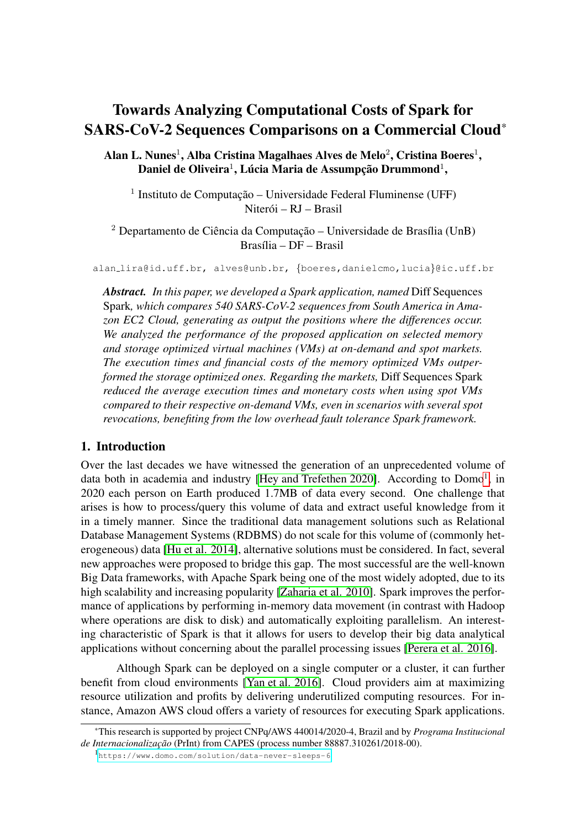# Towards Analyzing Computational Costs of Spark for SARS-CoV-2 Sequences Comparisons on a Commercial Cloud\*

Alan L. Nunes $^{\rm l}$ , Alba Cristina Magalhaes Alves de Melo $^{\rm 2}$ , Cristina Boeres $^{\rm l}$ , Daniel de Oliveira $^1$ , Lúcia Maria de Assumpção Drummond $^1,$ 

<sup>1</sup> Instituto de Computação – Universidade Federal Fluminense (UFF) Niterói – RJ – Brasil

 $2$  Departamento de Ciência da Computação – Universidade de Brasília (UnB)  $Brasília - DF - Brasil$ 

alan lira@id.uff.br, alves@unb.br, {boeres,danielcmo,lucia}@ic.uff.br

*Abstract. In this paper, we developed a Spark application, named* Diff Sequences Spark*, which compares 540 SARS-CoV-2 sequences from South America in Amazon EC2 Cloud, generating as output the positions where the differences occur. We analyzed the performance of the proposed application on selected memory and storage optimized virtual machines (VMs) at on-demand and spot markets. The execution times and financial costs of the memory optimized VMs outperformed the storage optimized ones. Regarding the markets,* Diff Sequences Spark *reduced the average execution times and monetary costs when using spot VMs compared to their respective on-demand VMs, even in scenarios with several spot revocations, benefiting from the low overhead fault tolerance Spark framework.*

### 1. Introduction

Over the last decades we have witnessed the generation of an unprecedented volume of data both in academia and industry [\[Hey and Trefethen 2020\]](#page-11-0). According to Domo<sup>[1](#page-0-0)</sup>, in 2020 each person on Earth produced 1.7MB of data every second. One challenge that arises is how to process/query this volume of data and extract useful knowledge from it in a timely manner. Since the traditional data management solutions such as Relational Database Management Systems (RDBMS) do not scale for this volume of (commonly heterogeneous) data [\[Hu et al. 2014\]](#page-11-1), alternative solutions must be considered. In fact, several new approaches were proposed to bridge this gap. The most successful are the well-known Big Data frameworks, with Apache Spark being one of the most widely adopted, due to its high scalability and increasing popularity [\[Zaharia et al. 2010\]](#page-11-2). Spark improves the performance of applications by performing in-memory data movement (in contrast with Hadoop where operations are disk to disk) and automatically exploiting parallelism. An interesting characteristic of Spark is that it allows for users to develop their big data analytical applications without concerning about the parallel processing issues [\[Perera et al. 2016\]](#page-11-3).

Although Spark can be deployed on a single computer or a cluster, it can further benefit from cloud environments [\[Yan et al. 2016\]](#page-11-4). Cloud providers aim at maximizing resource utilization and profits by delivering underutilized computing resources. For instance, Amazon AWS cloud offers a variety of resources for executing Spark applications.

<span id="page-0-0"></span>1 <https://www.domo.com/solution/data-never-sleeps-6>

<sup>\*</sup>This research is supported by project CNPq/AWS 440014/2020-4, Brazil and by *Programa Institucional de Internacionalização* (PrInt) from CAPES (process number 88887.310261/2018-00).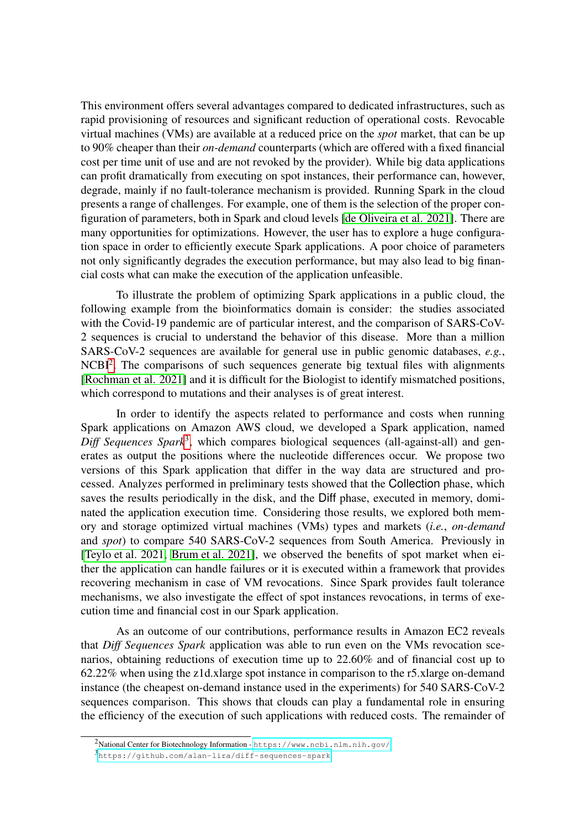This environment offers several advantages compared to dedicated infrastructures, such as rapid provisioning of resources and significant reduction of operational costs. Revocable virtual machines (VMs) are available at a reduced price on the *spot* market, that can be up to 90% cheaper than their *on-demand* counterparts (which are offered with a fixed financial cost per time unit of use and are not revoked by the provider). While big data applications can profit dramatically from executing on spot instances, their performance can, however, degrade, mainly if no fault-tolerance mechanism is provided. Running Spark in the cloud presents a range of challenges. For example, one of them is the selection of the proper configuration of parameters, both in Spark and cloud levels [\[de Oliveira et al. 2021\]](#page-10-0). There are many opportunities for optimizations. However, the user has to explore a huge configuration space in order to efficiently execute Spark applications. A poor choice of parameters not only significantly degrades the execution performance, but may also lead to big financial costs what can make the execution of the application unfeasible.

To illustrate the problem of optimizing Spark applications in a public cloud, the following example from the bioinformatics domain is consider: the studies associated with the Covid-19 pandemic are of particular interest, and the comparison of SARS-CoV-2 sequences is crucial to understand the behavior of this disease. More than a million SARS-CoV-2 sequences are available for general use in public genomic databases, *e.g.*, NCBI<sup>[2](#page-1-0)</sup>. The comparisons of such sequences generate big textual files with alignments [\[Rochman et al. 2021\]](#page-11-5) and it is difficult for the Biologist to identify mismatched positions, which correspond to mutations and their analyses is of great interest.

In order to identify the aspects related to performance and costs when running Spark applications on Amazon AWS cloud, we developed a Spark application, named Diff Sequences Spark<sup>[3](#page-1-1)</sup>, which compares biological sequences (all-against-all) and generates as output the positions where the nucleotide differences occur. We propose two versions of this Spark application that differ in the way data are structured and processed. Analyzes performed in preliminary tests showed that the Collection phase, which saves the results periodically in the disk, and the Diff phase, executed in memory, dominated the application execution time. Considering those results, we explored both memory and storage optimized virtual machines (VMs) types and markets (*i.e.*, *on-demand* and *spot*) to compare 540 SARS-CoV-2 sequences from South America. Previously in [\[Teylo et al. 2021,](#page-11-6) [Brum et al. 2021\]](#page-10-1), we observed the benefits of spot market when either the application can handle failures or it is executed within a framework that provides recovering mechanism in case of VM revocations. Since Spark provides fault tolerance mechanisms, we also investigate the effect of spot instances revocations, in terms of execution time and financial cost in our Spark application.

As an outcome of our contributions, performance results in Amazon EC2 reveals that *Diff Sequences Spark* application was able to run even on the VMs revocation scenarios, obtaining reductions of execution time up to 22.60% and of financial cost up to 62.22% when using the z1d.xlarge spot instance in comparison to the r5.xlarge on-demand instance (the cheapest on-demand instance used in the experiments) for 540 SARS-CoV-2 sequences comparison. This shows that clouds can play a fundamental role in ensuring the efficiency of the execution of such applications with reduced costs. The remainder of

<span id="page-1-0"></span><sup>2</sup>National Center for Biotechnology Information - <https://www.ncbi.nlm.nih.gov/>

<span id="page-1-1"></span><sup>3</sup> <https://github.com/alan-lira/diff-sequences-spark>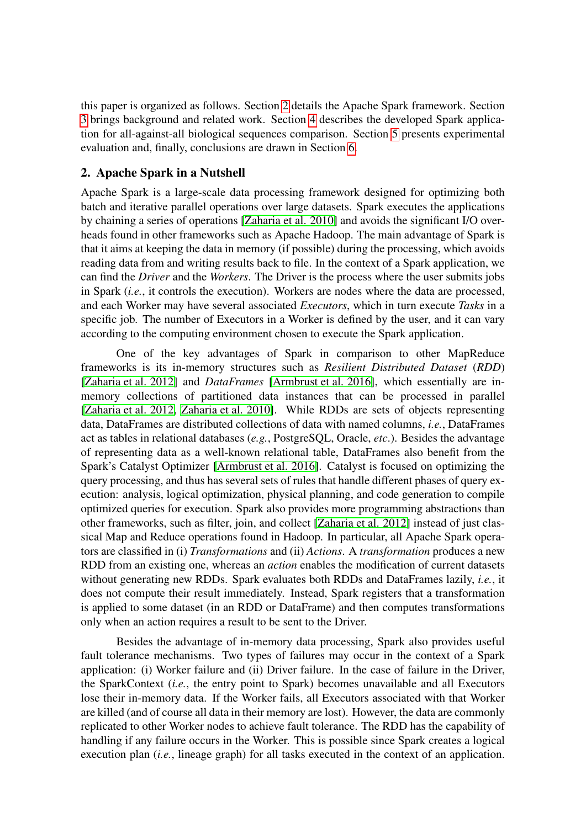this paper is organized as follows. Section [2](#page-2-0) details the Apache Spark framework. Section [3](#page-3-0) brings background and related work. Section [4](#page-4-0) describes the developed Spark application for all-against-all biological sequences comparison. Section [5](#page-8-0) presents experimental evaluation and, finally, conclusions are drawn in Section [6.](#page-10-2)

## <span id="page-2-0"></span>2. Apache Spark in a Nutshell

Apache Spark is a large-scale data processing framework designed for optimizing both batch and iterative parallel operations over large datasets. Spark executes the applications by chaining a series of operations [\[Zaharia et al. 2010\]](#page-11-2) and avoids the significant I/O overheads found in other frameworks such as Apache Hadoop. The main advantage of Spark is that it aims at keeping the data in memory (if possible) during the processing, which avoids reading data from and writing results back to file. In the context of a Spark application, we can find the *Driver* and the *Workers*. The Driver is the process where the user submits jobs in Spark (*i.e.*, it controls the execution). Workers are nodes where the data are processed, and each Worker may have several associated *Executors*, which in turn execute *Tasks* in a specific job. The number of Executors in a Worker is defined by the user, and it can vary according to the computing environment chosen to execute the Spark application.

One of the key advantages of Spark in comparison to other MapReduce frameworks is its in-memory structures such as *Resilient Distributed Dataset* (*RDD*) [\[Zaharia et al. 2012\]](#page-11-7) and *DataFrames* [\[Armbrust et al. 2016\]](#page-10-3), which essentially are inmemory collections of partitioned data instances that can be processed in parallel [\[Zaharia et al. 2012,](#page-11-7) [Zaharia et al. 2010\]](#page-11-2). While RDDs are sets of objects representing data, DataFrames are distributed collections of data with named columns, *i.e.*, DataFrames act as tables in relational databases (*e.g.*, PostgreSQL, Oracle, *etc*.). Besides the advantage of representing data as a well-known relational table, DataFrames also benefit from the Spark's Catalyst Optimizer [\[Armbrust et al. 2016\]](#page-10-3). Catalyst is focused on optimizing the query processing, and thus has several sets of rules that handle different phases of query execution: analysis, logical optimization, physical planning, and code generation to compile optimized queries for execution. Spark also provides more programming abstractions than other frameworks, such as filter, join, and collect [\[Zaharia et al. 2012\]](#page-11-7) instead of just classical Map and Reduce operations found in Hadoop. In particular, all Apache Spark operators are classified in (i) *Transformations* and (ii) *Actions*. A *transformation* produces a new RDD from an existing one, whereas an *action* enables the modification of current datasets without generating new RDDs. Spark evaluates both RDDs and DataFrames lazily, *i.e.*, it does not compute their result immediately. Instead, Spark registers that a transformation is applied to some dataset (in an RDD or DataFrame) and then computes transformations only when an action requires a result to be sent to the Driver.

Besides the advantage of in-memory data processing, Spark also provides useful fault tolerance mechanisms. Two types of failures may occur in the context of a Spark application: (i) Worker failure and (ii) Driver failure. In the case of failure in the Driver, the SparkContext (*i.e.*, the entry point to Spark) becomes unavailable and all Executors lose their in-memory data. If the Worker fails, all Executors associated with that Worker are killed (and of course all data in their memory are lost). However, the data are commonly replicated to other Worker nodes to achieve fault tolerance. The RDD has the capability of handling if any failure occurs in the Worker. This is possible since Spark creates a logical execution plan (*i.e.*, lineage graph) for all tasks executed in the context of an application.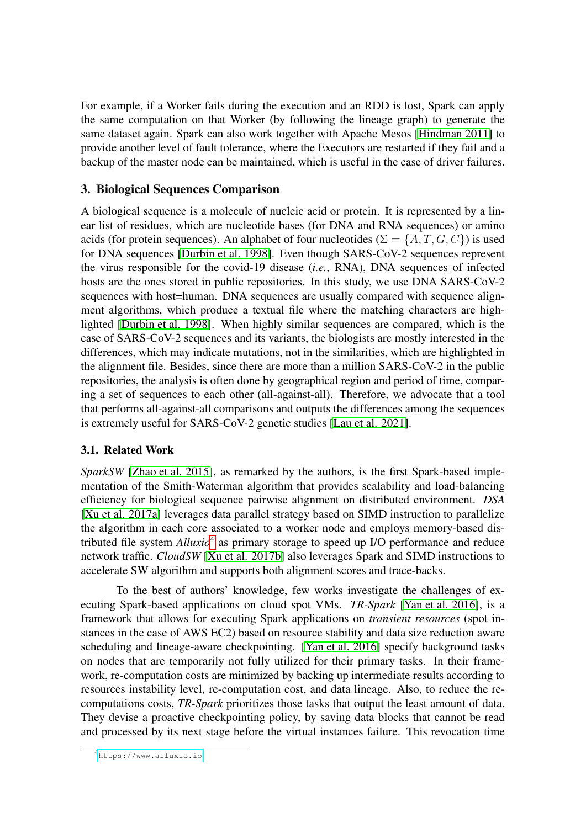For example, if a Worker fails during the execution and an RDD is lost, Spark can apply the same computation on that Worker (by following the lineage graph) to generate the same dataset again. Spark can also work together with Apache Mesos [\[Hindman 2011\]](#page-11-8) to provide another level of fault tolerance, where the Executors are restarted if they fail and a backup of the master node can be maintained, which is useful in the case of driver failures.

## <span id="page-3-0"></span>3. Biological Sequences Comparison

A biological sequence is a molecule of nucleic acid or protein. It is represented by a linear list of residues, which are nucleotide bases (for DNA and RNA sequences) or amino acids (for protein sequences). An alphabet of four nucleotides ( $\Sigma = \{A, T, G, C\}$ ) is used for DNA sequences [\[Durbin et al. 1998\]](#page-10-4). Even though SARS-CoV-2 sequences represent the virus responsible for the covid-19 disease (*i.e.*, RNA), DNA sequences of infected hosts are the ones stored in public repositories. In this study, we use DNA SARS-CoV-2 sequences with host=human. DNA sequences are usually compared with sequence alignment algorithms, which produce a textual file where the matching characters are highlighted [\[Durbin et al. 1998\]](#page-10-4). When highly similar sequences are compared, which is the case of SARS-CoV-2 sequences and its variants, the biologists are mostly interested in the differences, which may indicate mutations, not in the similarities, which are highlighted in the alignment file. Besides, since there are more than a million SARS-CoV-2 in the public repositories, the analysis is often done by geographical region and period of time, comparing a set of sequences to each other (all-against-all). Therefore, we advocate that a tool that performs all-against-all comparisons and outputs the differences among the sequences is extremely useful for SARS-CoV-2 genetic studies [\[Lau et al. 2021\]](#page-11-9).

#### 3.1. Related Work

*SparkSW* [\[Zhao et al. 2015\]](#page-11-10), as remarked by the authors, is the first Spark-based implementation of the Smith-Waterman algorithm that provides scalability and load-balancing efficiency for biological sequence pairwise alignment on distributed environment. *DSA* [\[Xu et al. 2017a\]](#page-11-11) leverages data parallel strategy based on SIMD instruction to parallelize the algorithm in each core associated to a worker node and employs memory-based distributed file system *Alluxio*[4](#page-3-1) as primary storage to speed up I/O performance and reduce network traffic. *CloudSW* [\[Xu et al. 2017b\]](#page-11-12) also leverages Spark and SIMD instructions to accelerate SW algorithm and supports both alignment scores and trace-backs.

To the best of authors' knowledge, few works investigate the challenges of executing Spark-based applications on cloud spot VMs. *TR-Spark* [\[Yan et al. 2016\]](#page-11-4), is a framework that allows for executing Spark applications on *transient resources* (spot instances in the case of AWS EC2) based on resource stability and data size reduction aware scheduling and lineage-aware checkpointing. [\[Yan et al. 2016\]](#page-11-4) specify background tasks on nodes that are temporarily not fully utilized for their primary tasks. In their framework, re-computation costs are minimized by backing up intermediate results according to resources instability level, re-computation cost, and data lineage. Also, to reduce the recomputations costs, *TR-Spark* prioritizes those tasks that output the least amount of data. They devise a proactive checkpointing policy, by saving data blocks that cannot be read and processed by its next stage before the virtual instances failure. This revocation time

<span id="page-3-1"></span><sup>4</sup> <https://www.alluxio.io>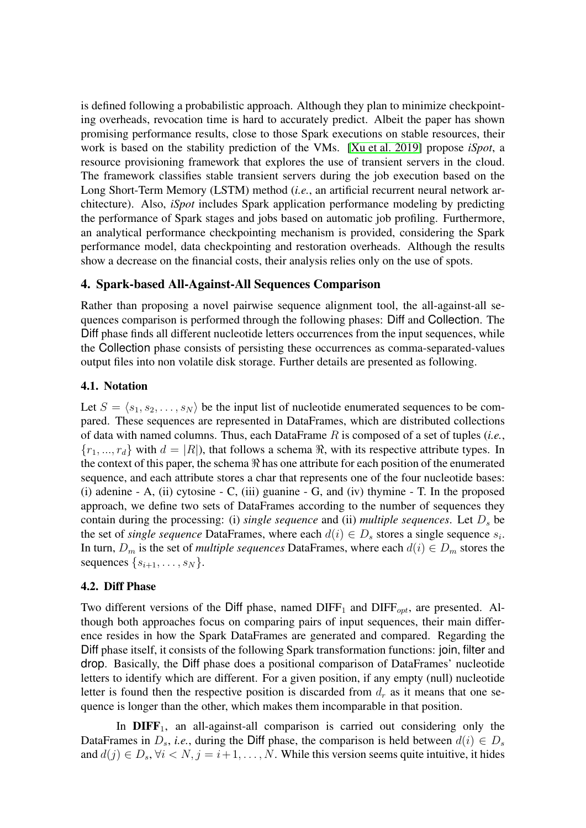is defined following a probabilistic approach. Although they plan to minimize checkpointing overheads, revocation time is hard to accurately predict. Albeit the paper has shown promising performance results, close to those Spark executions on stable resources, their work is based on the stability prediction of the VMs. [\[Xu et al. 2019\]](#page-11-13) propose *iSpot*, a resource provisioning framework that explores the use of transient servers in the cloud. The framework classifies stable transient servers during the job execution based on the Long Short-Term Memory (LSTM) method (*i.e.*, an artificial recurrent neural network architecture). Also, *iSpot* includes Spark application performance modeling by predicting the performance of Spark stages and jobs based on automatic job profiling. Furthermore, an analytical performance checkpointing mechanism is provided, considering the Spark performance model, data checkpointing and restoration overheads. Although the results show a decrease on the financial costs, their analysis relies only on the use of spots.

## <span id="page-4-0"></span>4. Spark-based All-Against-All Sequences Comparison

Rather than proposing a novel pairwise sequence alignment tool, the all-against-all sequences comparison is performed through the following phases: Diff and Collection. The Diff phase finds all different nucleotide letters occurrences from the input sequences, while the Collection phase consists of persisting these occurrences as comma-separated-values output files into non volatile disk storage. Further details are presented as following.

#### 4.1. Notation

Let  $S = \langle s_1, s_2, \ldots, s_N \rangle$  be the input list of nucleotide enumerated sequences to be compared. These sequences are represented in DataFrames, which are distributed collections of data with named columns. Thus, each DataFrame R is composed of a set of tuples (*i.e.*,  ${r_1, ..., r_d}$  with  $d = |R|$ , that follows a schema  $\Re$ , with its respective attribute types. In the context of this paper, the schema  $\Re$  has one attribute for each position of the enumerated sequence, and each attribute stores a char that represents one of the four nucleotide bases: (i) adenine - A, (ii) cytosine - C, (iii) guanine - G, and (iv) thymine - T. In the proposed approach, we define two sets of DataFrames according to the number of sequences they contain during the processing: (i) *single sequence* and (ii) *multiple sequences*. Let  $D<sub>s</sub>$  be the set of *single sequence* DataFrames, where each  $d(i) \in D_s$  stores a single sequence  $s_i$ . In turn,  $D_m$  is the set of *multiple sequences* DataFrames, where each  $d(i) \in D_m$  stores the sequences  $\{s_{i+1}, \ldots, s_N\}$ .

#### 4.2. Diff Phase

Two different versions of the Diff phase, named  $\text{DIFF}_1$  and  $\text{DIFF}_{opt}$ , are presented. Although both approaches focus on comparing pairs of input sequences, their main difference resides in how the Spark DataFrames are generated and compared. Regarding the Diff phase itself, it consists of the following Spark transformation functions: join, filter and drop. Basically, the Diff phase does a positional comparison of DataFrames' nucleotide letters to identify which are different. For a given position, if any empty (null) nucleotide letter is found then the respective position is discarded from  $d_r$  as it means that one sequence is longer than the other, which makes them incomparable in that position.

In  $DIFF_1$ , an all-against-all comparison is carried out considering only the DataFrames in  $D_s$ , *i.e.*, during the Diff phase, the comparison is held between  $d(i) \in D_s$ and  $d(j) \in D_s$ ,  $\forall i \le N$ ,  $j = i+1, \ldots, N$ . While this version seems quite intuitive, it hides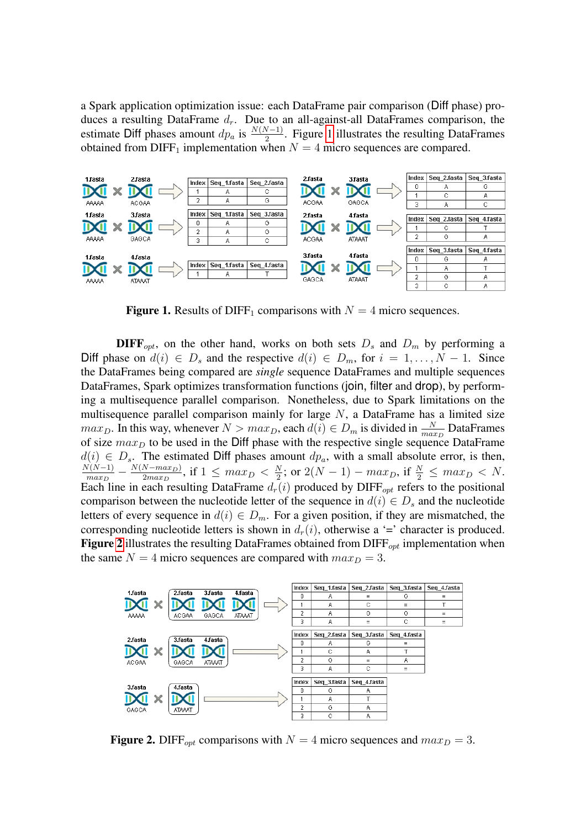a Spark application optimization issue: each DataFrame pair comparison (Diff phase) produces a resulting DataFrame  $d_r$ . Due to an all-against-all DataFrames comparison, the estimate Diff phases amount  $dp_a$  is  $\frac{N(N-1)}{2}$ . Figure [1](#page-5-0) illustrates the resulting DataFrames obtained from DIFF<sub>1</sub> implementation when  $N = 4$  micro sequences are compared.



<span id="page-5-0"></span>**Figure 1.** Results of DIFF<sub>1</sub> comparisons with  $N = 4$  micro sequences.

**DIFF**<sub>opt</sub>, on the other hand, works on both sets  $D_s$  and  $D_m$  by performing a Diff phase on  $d(i) \in D_s$  and the respective  $d(i) \in D_m$ , for  $i = 1, ..., N - 1$ . Since the DataFrames being compared are *single* sequence DataFrames and multiple sequences DataFrames, Spark optimizes transformation functions (join, filter and drop), by performing a multisequence parallel comparison. Nonetheless, due to Spark limitations on the multisequence parallel comparison mainly for large  $N$ , a DataFrame has a limited size  $max_D$ . In this way, whenever  $N > max_D$ , each  $d(i) \in D_m$  is divided in  $\frac{N}{max_D}$  DataFrames of size  $max_D$  to be used in the Diff phase with the respective single sequence DataFrame  $d(i) \in D_s$ . The estimated Diff phases amount  $dp_a$ , with a small absolute error, is then,  $N(N-1)$  $\frac{N(N-1)}{max_D} - \frac{N(N-max_D)}{2max_D}$  $\frac{N - max_D}{2 max_D}$ , if  $1 \leq max_D < \frac{N}{2}$  $\frac{N}{2}$ ; or  $2(N-1) - max_D$ , if  $\frac{N}{2} \leq max_D < N$ . Each line in each resulting DataFrame  $d_r(i)$  produced by DIFF<sub>opt</sub> refers to the positional comparison between the nucleotide letter of the sequence in  $d(i) \in D_s$  and the nucleotide letters of every sequence in  $d(i) \in D_m$ . For a given position, if they are mismatched, the corresponding nucleotide letters is shown in  $d_r(i)$ , otherwise a '=' character is produced. **Figure [2](#page-5-1)** illustrates the resulting DataFrames obtained from  $\text{DIFF}_{\text{out}}$  implementation when the same  $N = 4$  micro sequences are compared with  $max_D = 3$ .



<span id="page-5-1"></span>**Figure 2.** DIFF<sub>ont</sub> comparisons with  $N = 4$  micro sequences and  $max_D = 3$ .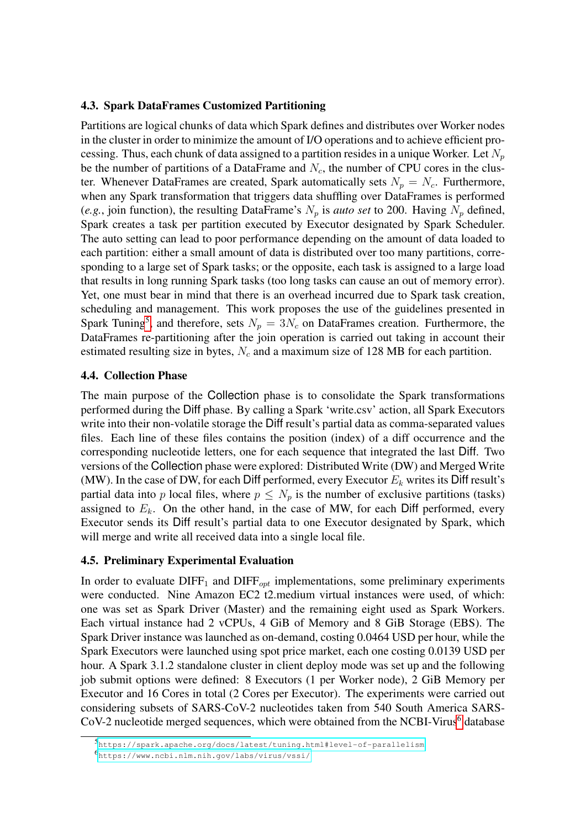#### 4.3. Spark DataFrames Customized Partitioning

Partitions are logical chunks of data which Spark defines and distributes over Worker nodes in the cluster in order to minimize the amount of I/O operations and to achieve efficient processing. Thus, each chunk of data assigned to a partition resides in a unique Worker. Let  $N_p$ be the number of partitions of a DataFrame and  $N_c$ , the number of CPU cores in the cluster. Whenever DataFrames are created, Spark automatically sets  $N_p = N_c$ . Furthermore, when any Spark transformation that triggers data shuffling over DataFrames is performed (*e.g.*, join function), the resulting DataFrame's  $N_p$  is *auto set* to 200. Having  $N_p$  defined, Spark creates a task per partition executed by Executor designated by Spark Scheduler. The auto setting can lead to poor performance depending on the amount of data loaded to each partition: either a small amount of data is distributed over too many partitions, corresponding to a large set of Spark tasks; or the opposite, each task is assigned to a large load that results in long running Spark tasks (too long tasks can cause an out of memory error). Yet, one must bear in mind that there is an overhead incurred due to Spark task creation, scheduling and management. This work proposes the use of the guidelines presented in Spark Tuning<sup>[5](#page-6-0)</sup>, and therefore, sets  $N_p = 3N_c$  on DataFrames creation. Furthermore, the DataFrames re-partitioning after the join operation is carried out taking in account their estimated resulting size in bytes,  $N_c$  and a maximum size of 128 MB for each partition.

#### 4.4. Collection Phase

The main purpose of the Collection phase is to consolidate the Spark transformations performed during the Diff phase. By calling a Spark 'write.csv' action, all Spark Executors write into their non-volatile storage the Diff result's partial data as comma-separated values files. Each line of these files contains the position (index) of a diff occurrence and the corresponding nucleotide letters, one for each sequence that integrated the last Diff. Two versions of the Collection phase were explored: Distributed Write (DW) and Merged Write (MW). In the case of DW, for each Diff performed, every Executor  $E_k$  writes its Diff result's partial data into p local files, where  $p \leq N_p$  is the number of exclusive partitions (tasks) assigned to  $E_k$ . On the other hand, in the case of MW, for each Diff performed, every Executor sends its Diff result's partial data to one Executor designated by Spark, which will merge and write all received data into a single local file.

#### 4.5. Preliminary Experimental Evaluation

In order to evaluate  $\text{DIFF}_1$  and  $\text{DIFF}_{opt}$  implementations, some preliminary experiments were conducted. Nine Amazon EC2 t2.medium virtual instances were used, of which: one was set as Spark Driver (Master) and the remaining eight used as Spark Workers. Each virtual instance had 2 vCPUs, 4 GiB of Memory and 8 GiB Storage (EBS). The Spark Driver instance was launched as on-demand, costing 0.0464 USD per hour, while the Spark Executors were launched using spot price market, each one costing 0.0139 USD per hour. A Spark 3.1.2 standalone cluster in client deploy mode was set up and the following job submit options were defined: 8 Executors (1 per Worker node), 2 GiB Memory per Executor and 16 Cores in total (2 Cores per Executor). The experiments were carried out considering subsets of SARS-CoV-2 nucleotides taken from 540 South America SARS- $CoV-2$  nucleotide merged sequences, which were obtained from the NCBI-Virus<sup>[6](#page-6-1)</sup> database

<span id="page-6-1"></span><span id="page-6-0"></span><sup>5</sup> <https://spark.apache.org/docs/latest/tuning.html#level-of-parallelism>

<sup>6</sup> <https://www.ncbi.nlm.nih.gov/labs/virus/vssi/>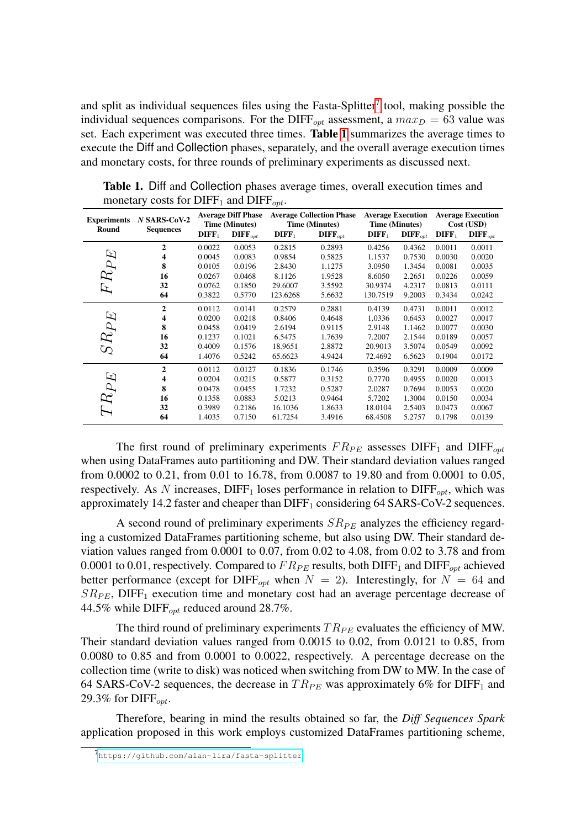and split as individual sequences files using the Fasta-Splitter<sup>[7](#page-7-0)</sup> tool, making possible the individual sequences comparisons. For the DIFF<sub>opt</sub> assessment, a  $max_D = 63$  value was set. Each experiment was executed three times. Table [1](#page-7-1) summarizes the average times to execute the Diff and Collection phases, separately, and the overall average execution times and monetary costs, for three rounds of preliminary experiments as discussed next.

| <b>Experiments</b><br>Round | $N$ SARS-CoV-2<br><b>Sequences</b> | <b>Average Diff Phase</b><br><b>Time (Minutes)</b> |                       | <b>Average Collection Phase</b><br><b>Time (Minutes)</b> |                       | <b>Average Execution</b><br><b>Time (Minutes)</b> |                       | <b>Average Execution</b><br>Cost (USD) |                       |
|-----------------------------|------------------------------------|----------------------------------------------------|-----------------------|----------------------------------------------------------|-----------------------|---------------------------------------------------|-----------------------|----------------------------------------|-----------------------|
|                             |                                    | $\mathbf{DIFF}_1$                                  | $\mathbf{DIFF}_{opt}$ | $\mathbf{DIFF}_1$                                        | $\mathbf{DIFF}_{opt}$ | $\mathbf{DIFF}_1$                                 | $\mathbf{DIFF}_{opt}$ | $\mathbf{DIFF}_1$                      | $\mathbf{DIFF}_{opt}$ |
|                             | $\overline{2}$                     | 0.0022                                             | 0.0053                | 0.2815                                                   | 0.2893                | 0.4256                                            | 0.4362                | 0.0011                                 | 0.0011                |
|                             | 4                                  | 0.0045                                             | 0.0083                | 0.9854                                                   | 0.5825                | 1.1537                                            | 0.7530                | 0.0030                                 | 0.0020                |
|                             | 8                                  | 0.0105                                             | 0.0196                | 2.8430                                                   | 1.1275                | 3.0950                                            | 1.3454                | 0.0081                                 | 0.0035                |
|                             | 16                                 | 0.0267                                             | 0.0468                | 8.1126                                                   | 1.9528                | 8.6050                                            | 2.2651                | 0.0226                                 | 0.0059                |
| $FRPE$                      | 32                                 | 0.0762                                             | 0.1850                | 29.6007                                                  | 3.5592                | 30.9374                                           | 4.2317                | 0.0813                                 | 0.0111                |
|                             | 64                                 | 0.3822                                             | 0.5770                | 123.6268                                                 | 5.6632                | 130.7519                                          | 9.2003                | 0.3434                                 | 0.0242                |
|                             | $\overline{2}$                     | 0.0112                                             | 0.0141                | 0.2579                                                   | 0.2881                | 0.4139                                            | 0.4731                | 0.0011                                 | 0.0012                |
|                             | 4                                  | 0.0200                                             | 0.0218                | 0.8406                                                   | 0.4648                | 1.0336                                            | 0.6453                | 0.0027                                 | 0.0017                |
| $SRPE$                      | 8                                  | 0.0458                                             | 0.0419                | 2.6194                                                   | 0.9115                | 2.9148                                            | 1.1462                | 0.0077                                 | 0.0030                |
|                             | 16                                 | 0.1237                                             | 0.1021                | 6.5475                                                   | 1.7639                | 7.2007                                            | 2.1544                | 0.0189                                 | 0.0057                |
|                             | 32                                 | 0.4009                                             | 0.1576                | 18.9651                                                  | 2.8872                | 20.9013                                           | 3.5074                | 0.0549                                 | 0.0092                |
|                             | 64                                 | 1.4076                                             | 0.5242                | 65.6623                                                  | 4.9424                | 72.4692                                           | 6.5623                | 0.1904                                 | 0.0172                |
| $TRPE$                      | $\overline{2}$                     | 0.0112                                             | 0.0127                | 0.1836                                                   | 0.1746                | 0.3596                                            | 0.3291                | 0.0009                                 | 0.0009                |
|                             | 4                                  | 0.0204                                             | 0.0215                | 0.5877                                                   | 0.3152                | 0.7770                                            | 0.4955                | 0.0020                                 | 0.0013                |
|                             | 8                                  | 0.0478                                             | 0.0455                | 1.7232                                                   | 0.5287                | 2.0287                                            | 0.7694                | 0.0053                                 | 0.0020                |
|                             | 16                                 | 0.1358                                             | 0.0883                | 5.0213                                                   | 0.9464                | 5.7202                                            | 1.3004                | 0.0150                                 | 0.0034                |
|                             | 32                                 | 0.3989                                             | 0.2186                | 16.1036                                                  | 1.8633                | 18.0104                                           | 2.5403                | 0.0473                                 | 0.0067                |
|                             | 64                                 | 1.4035                                             | 0.7150                | 61.7254                                                  | 3.4916                | 68.4508                                           | 5.2757                | 0.1798                                 | 0.0139                |

<span id="page-7-1"></span>Table 1. Diff and Collection phases average times, overall execution times and monetary costs for  $\text{DIFF}_1$  and  $\text{DIFF}_{opt}$ .

The first round of preliminary experiments  $FR_{PE}$  assesses DIFF<sub>1</sub> and DIFF<sub>opt</sub> when using DataFrames auto partitioning and DW. Their standard deviation values ranged from 0.0002 to 0.21, from 0.01 to 16.78, from 0.0087 to 19.80 and from 0.0001 to 0.05, respectively. As N increases,  $\text{DIFF}_1$  loses performance in relation to  $\text{DIFF}_{\text{out}}$ , which was approximately 14.2 faster and cheaper than  $\text{DIFF}_1$  considering 64 SARS-CoV-2 sequences.

A second round of preliminary experiments  $SR_{PE}$  analyzes the efficiency regarding a customized DataFrames partitioning scheme, but also using DW. Their standard deviation values ranged from 0.0001 to 0.07, from 0.02 to 4.08, from 0.02 to 3.78 and from 0.0001 to 0.01, respectively. Compared to  $FR_{PE}$  results, both DIFF<sub>1</sub> and DIFF<sub>opt</sub> achieved better performance (except for DIFF<sub>opt</sub> when  $N = 2$ ). Interestingly, for  $N = 64$  and  $SR_{PE}$ , DIFF<sub>1</sub> execution time and monetary cost had an average percentage decrease of 44.5% while DIFF $_{\text{out}}$  reduced around 28.7%.

The third round of preliminary experiments  $TR_{PE}$  evaluates the efficiency of MW. Their standard deviation values ranged from 0.0015 to 0.02, from 0.0121 to 0.85, from 0.0080 to 0.85 and from 0.0001 to 0.0022, respectively. A percentage decrease on the collection time (write to disk) was noticed when switching from DW to MW. In the case of 64 SARS-CoV-2 sequences, the decrease in  $TR_{PE}$  was approximately 6% for DIFF<sub>1</sub> and 29.3% for  $\text{DIFF}_{\text{out}}$ .

Therefore, bearing in mind the results obtained so far, the *Diff Sequences Spark* application proposed in this work employs customized DataFrames partitioning scheme,

<span id="page-7-0"></span><sup>7</sup> <https://github.com/alan-lira/fasta-splitter>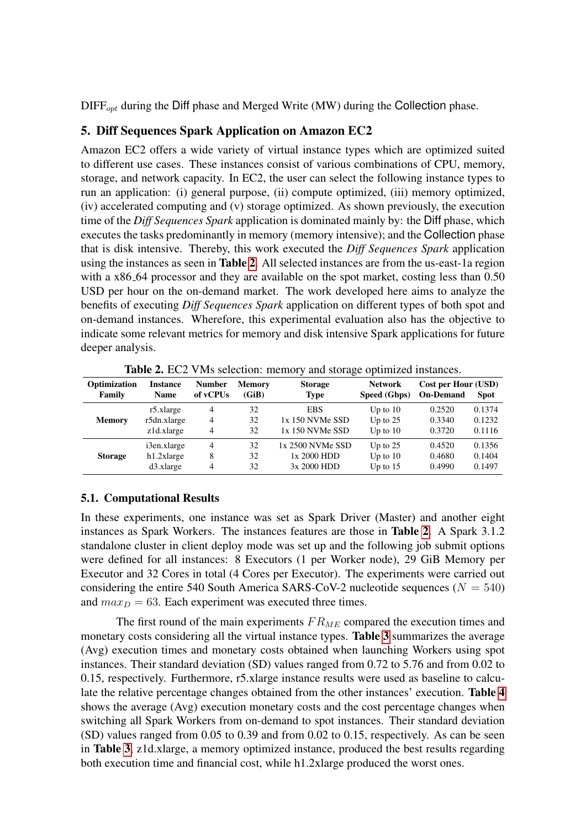$\text{DIFF}_{opt}$  during the Diff phase and Merged Write (MW) during the Collection phase.

### <span id="page-8-0"></span>5. Diff Sequences Spark Application on Amazon EC2

Amazon EC2 offers a wide variety of virtual instance types which are optimized suited to different use cases. These instances consist of various combinations of CPU, memory, storage, and network capacity. In EC2, the user can select the following instance types to run an application: (i) general purpose, (ii) compute optimized, (iii) memory optimized, (iv) accelerated computing and (v) storage optimized. As shown previously, the execution time of the *Diff Sequences Spark* application is dominated mainly by: the Diff phase, which executes the tasks predominantly in memory (memory intensive); and the Collection phase that is disk intensive. Thereby, this work executed the *Diff Sequences Spark* application using the instances as seen in Table [2](#page-8-1). All selected instances are from the us-east-1a region with a x86<sub>-64</sub> processor and they are available on the spot market, costing less than 0.50 USD per hour on the on-demand market. The work developed here aims to analyze the benefits of executing *Diff Sequences Spark* application on different types of both spot and on-demand instances. Wherefore, this experimental evaluation also has the objective to indicate some relevant metrics for memory and disk intensive Spark applications for future deeper analysis.

| Optimization   | Instance      | <b>Number</b>  | <b>Memory</b> | <b>Storage</b>   | <b>Network</b> | Cost per Hour (USD) | <b>Spot</b> |
|----------------|---------------|----------------|---------------|------------------|----------------|---------------------|-------------|
| Family         | <b>Name</b>   | of vCPUs       | (GiB)         | <b>Type</b>      | Speed (Gbps)   | <b>On-Demand</b>    |             |
| <b>Memory</b>  | r5.xlarge     | 4              | 32            | <b>EBS</b>       | Up to $10$     | 0.2520              | 0.1374      |
|                | r5dn.xlarge   | $\overline{4}$ | 32            | 1x 150 NVMe SSD  | Up to $25$     | 0.3340              | 0.1232      |
|                | z1d.xlarge    | 4              | 32            | 1x 150 NVMe SSD  | Up to $10$     | 0.3720              | 0.1116      |
| <b>Storage</b> | i3en.xlarge   | 4              | 32            | 1x 2500 NVMe SSD | Up to $25$     | 0.4520              | 0.1356      |
|                | $h1.2x$ large | 8              | 32            | 1x 2000 HDD      | Up to $10$     | 0.4680              | 0.1404      |
|                | $d3$ .xlarge  | 4              | 32            | 3x 2000 HDD      | Up to $15$     | 0.4990              | 0.1497      |

<span id="page-8-1"></span>Table 2. EC2 VMs selection: memory and storage optimized instances.

## 5.1. Computational Results

In these experiments, one instance was set as Spark Driver (Master) and another eight instances as Spark Workers. The instances features are those in Table [2](#page-8-1). A Spark 3.1.2 standalone cluster in client deploy mode was set up and the following job submit options were defined for all instances: 8 Executors (1 per Worker node), 29 GiB Memory per Executor and 32 Cores in total (4 Cores per Executor). The experiments were carried out considering the entire 540 South America SARS-CoV-2 nucleotide sequences ( $N = 540$ ) and  $max_D = 63$ . Each experiment was executed three times.

The first round of the main experiments  $FR_{ME}$  compared the execution times and monetary costs considering all the virtual instance types. Table [3](#page-9-0) summarizes the average (Avg) execution times and monetary costs obtained when launching Workers using spot instances. Their standard deviation (SD) values ranged from 0.72 to 5.76 and from 0.02 to 0.15, respectively. Furthermore, r5.xlarge instance results were used as baseline to calculate the relative percentage changes obtained from the other instances' execution. Table [4](#page-9-1) shows the average (Avg) execution monetary costs and the cost percentage changes when switching all Spark Workers from on-demand to spot instances. Their standard deviation (SD) values ranged from 0.05 to 0.39 and from 0.02 to 0.15, respectively. As can be seen in Table [3](#page-9-0), z1d.xlarge, a memory optimized instance, produced the best results regarding both execution time and financial cost, while h1.2xlarge produced the worst ones.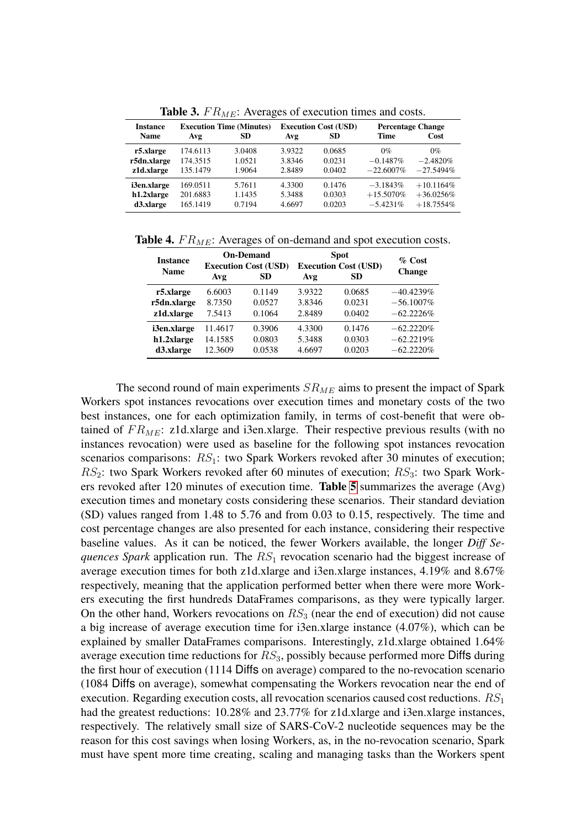| <b>Instance</b><br><b>Name</b> | <b>Execution Time (Minutes)</b><br><b>SD</b><br>Avg |        | Avg    | <b>Execution Cost (USD)</b><br><b>SD</b> | <b>Percentage Change</b><br>Time<br>Cost |              |  |  |
|--------------------------------|-----------------------------------------------------|--------|--------|------------------------------------------|------------------------------------------|--------------|--|--|
| r5.xlarge                      | 174.6113                                            | 3.0408 | 3.9322 | 0.0685                                   | $0\%$                                    | $0\%$        |  |  |
| r5dn.xlarge                    | 174.3515                                            | 1.0521 | 3.8346 | 0.0231                                   | $-0.1487\%$                              | $-2.4820\%$  |  |  |
| z1d.xlarge                     | 135.1479                                            | 1.9064 | 2.8489 | 0.0402                                   | $-22.6007\%$                             | $-27.5494\%$ |  |  |
| i3en.xlarge                    | 169.0511                                            | 5.7611 | 4.3300 | 0.1476                                   | $-3.1843\%$                              | $+10.1164\%$ |  |  |
| h1.2xlarge                     | 201.6883                                            | 1.1435 | 5.3488 | 0.0303                                   | $+15.5070\%$                             | $+36.0256%$  |  |  |
| d3.xlarge                      | 165.1419                                            | 0.7194 | 4.6697 | 0.0203                                   | $-5.4231\%$                              | $+18.7554\%$ |  |  |

<span id="page-9-0"></span>**Table 3.**  $FR_{ME}$ : Averages of execution times and costs.

**Table 4.**  $FR_{ME}$ : Averages of on-demand and spot execution costs.

<span id="page-9-1"></span>

| <b>Instance</b><br><b>Name</b> | Avg     | <b>On-Demand</b><br><b>Execution Cost (USD)</b><br><b>SD</b> | <b>Spot</b><br><b>Execution Cost (USD)</b><br>Avg | $\%$ Cost<br><b>Change</b> |              |
|--------------------------------|---------|--------------------------------------------------------------|---------------------------------------------------|----------------------------|--------------|
| r5.xlarge                      | 6.6003  | 0.1149                                                       | 3.9322                                            | 0.0685                     | $-40.4239%$  |
| r5dn.xlarge                    | 8.7350  | 0.0527                                                       | 3.8346                                            | 0.0231                     | $-56.1007\%$ |
| z1d.xlarge                     | 7.5413  | 0.1064                                                       | 2.8489                                            | 0.0402                     | $-62.2226%$  |
| i3en.xlarge                    | 11.4617 | 0.3906                                                       | 4.3300                                            | 0.1476                     | $-62.2220%$  |
| h1.2xlarge                     | 14.1585 | 0.0803                                                       | 5.3488                                            | 0.0303                     | $-62.2219%$  |
| d3.xlarge                      | 12.3609 | 0.0538                                                       | 4.6697                                            | 0.0203                     | $-62.2220%$  |

The second round of main experiments  $SR_{ME}$  aims to present the impact of Spark Workers spot instances revocations over execution times and monetary costs of the two best instances, one for each optimization family, in terms of cost-benefit that were obtained of  $FR_{ME}$ : z1d.xlarge and i3en.xlarge. Their respective previous results (with no instances revocation) were used as baseline for the following spot instances revocation scenarios comparisons:  $RS_1$ : two Spark Workers revoked after 30 minutes of execution;  $RS_2$ : two Spark Workers revoked after 60 minutes of execution;  $RS_3$ : two Spark Workers revoked after 120 minutes of execution time. Table [5](#page-10-5) summarizes the average (Avg) execution times and monetary costs considering these scenarios. Their standard deviation (SD) values ranged from 1.48 to 5.76 and from 0.03 to 0.15, respectively. The time and cost percentage changes are also presented for each instance, considering their respective baseline values. As it can be noticed, the fewer Workers available, the longer *Diff Sequences Spark* application run. The  $RS<sub>1</sub>$  revocation scenario had the biggest increase of average execution times for both z1d.xlarge and i3en.xlarge instances, 4.19% and 8.67% respectively, meaning that the application performed better when there were more Workers executing the first hundreds DataFrames comparisons, as they were typically larger. On the other hand, Workers revocations on  $RS<sub>3</sub>$  (near the end of execution) did not cause a big increase of average execution time for i3en.xlarge instance (4.07%), which can be explained by smaller DataFrames comparisons. Interestingly, z1d.xlarge obtained 1.64% average execution time reductions for  $RS<sub>3</sub>$ , possibly because performed more Diffs during the first hour of execution (1114 Diffs on average) compared to the no-revocation scenario (1084 Diffs on average), somewhat compensating the Workers revocation near the end of execution. Regarding execution costs, all revocation scenarios caused cost reductions.  $RS_1$ had the greatest reductions: 10.28% and 23.77% for z1d.xlarge and i3en.xlarge instances, respectively. The relatively small size of SARS-CoV-2 nucleotide sequences may be the reason for this cost savings when losing Workers, as, in the no-revocation scenario, Spark must have spent more time creating, scaling and managing tasks than the Workers spent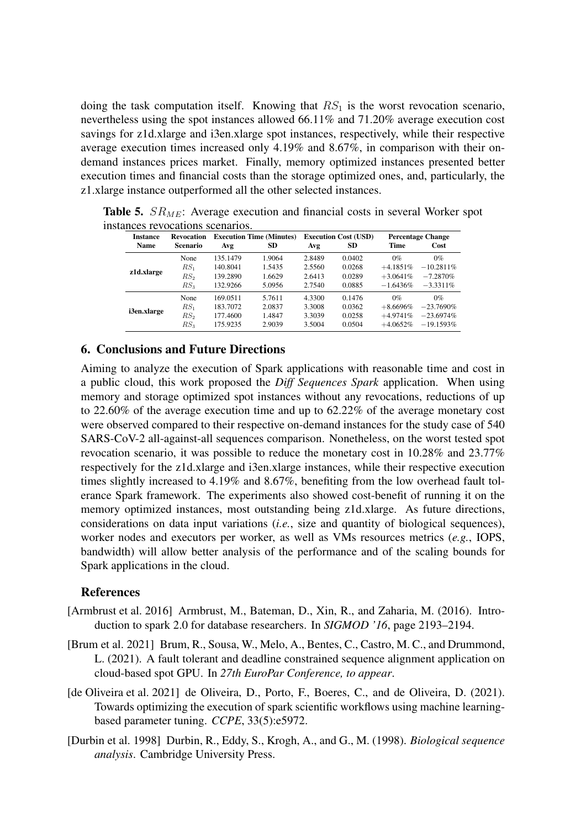doing the task computation itself. Knowing that  $RS<sub>1</sub>$  is the worst revocation scenario, nevertheless using the spot instances allowed 66.11% and 71.20% average execution cost savings for z1d.xlarge and i3en.xlarge spot instances, respectively, while their respective average execution times increased only 4.19% and 8.67%, in comparison with their ondemand instances prices market. Finally, memory optimized instances presented better execution times and financial costs than the storage optimized ones, and, particularly, the z1.xlarge instance outperformed all the other selected instances.

<span id="page-10-5"></span>

| <b>Instance</b> | <b>Revocation</b> | <b>Execution Time (Minutes)</b> |        | <b>Execution Cost (USD)</b> |        | <b>Percentage Change</b> |              |
|-----------------|-------------------|---------------------------------|--------|-----------------------------|--------|--------------------------|--------------|
| <b>Name</b>     | <b>Scenario</b>   | Avg                             | SD     | Avg                         | SD     | Time                     | Cost         |
|                 | None              | 135.1479                        | 1.9064 | 2.8489                      | 0.0402 | $0\%$                    | $0\%$        |
| z1d.xlarge      | $RS_1$            | 140.8041                        | 1.5435 | 2.5560                      | 0.0268 | $+4.1851\%$              | $-10.2811\%$ |
|                 | RS <sub>2</sub>   | 139.2890                        | 1.6629 | 2.6413                      | 0.0289 | $+3.0641\%$              | $-7.2870%$   |
|                 | RS <sub>3</sub>   | 132.9266                        | 5.0956 | 2.7540                      | 0.0885 | $-1.6436%$               | $-3.3311\%$  |
|                 | None              | 169.0511                        | 5.7611 | 4.3300                      | 0.1476 | $0\%$                    | $0\%$        |
|                 | $RS_1$            | 183.7072                        | 2.0837 | 3.3008                      | 0.0362 | $+8.6696%$               | $-23.7690\%$ |
| i3en.xlarge     | RS <sub>2</sub>   | 177.4600                        | 1.4847 | 3.3039                      | 0.0258 | $+4.9741%$               | $-23.6974\%$ |
|                 | RS <sub>3</sub>   | 175.9235                        | 2.9039 | 3.5004                      | 0.0504 | $+4.0652%$               | $-19.1593%$  |

**Table 5.**  $SR_{ME}$ : Average execution and financial costs in several Worker spot instances revocations scenarios.

#### <span id="page-10-2"></span>6. Conclusions and Future Directions

Aiming to analyze the execution of Spark applications with reasonable time and cost in a public cloud, this work proposed the *Diff Sequences Spark* application. When using memory and storage optimized spot instances without any revocations, reductions of up to 22.60% of the average execution time and up to 62.22% of the average monetary cost were observed compared to their respective on-demand instances for the study case of 540 SARS-CoV-2 all-against-all sequences comparison. Nonetheless, on the worst tested spot revocation scenario, it was possible to reduce the monetary cost in 10.28% and 23.77% respectively for the z1d.xlarge and i3en.xlarge instances, while their respective execution times slightly increased to 4.19% and 8.67%, benefiting from the low overhead fault tolerance Spark framework. The experiments also showed cost-benefit of running it on the memory optimized instances, most outstanding being z1d.xlarge. As future directions, considerations on data input variations (*i.e.*, size and quantity of biological sequences), worker nodes and executors per worker, as well as VMs resources metrics (*e.g.*, IOPS, bandwidth) will allow better analysis of the performance and of the scaling bounds for Spark applications in the cloud.

#### References

- <span id="page-10-3"></span>[Armbrust et al. 2016] Armbrust, M., Bateman, D., Xin, R., and Zaharia, M. (2016). Introduction to spark 2.0 for database researchers. In *SIGMOD '16*, page 2193–2194.
- <span id="page-10-1"></span>[Brum et al. 2021] Brum, R., Sousa, W., Melo, A., Bentes, C., Castro, M. C., and Drummond, L. (2021). A fault tolerant and deadline constrained sequence alignment application on cloud-based spot GPU. In *27th EuroPar Conference, to appear*.
- <span id="page-10-0"></span>[de Oliveira et al. 2021] de Oliveira, D., Porto, F., Boeres, C., and de Oliveira, D. (2021). Towards optimizing the execution of spark scientific workflows using machine learningbased parameter tuning. *CCPE*, 33(5):e5972.
- <span id="page-10-4"></span>[Durbin et al. 1998] Durbin, R., Eddy, S., Krogh, A., and G., M. (1998). *Biological sequence analysis*. Cambridge University Press.